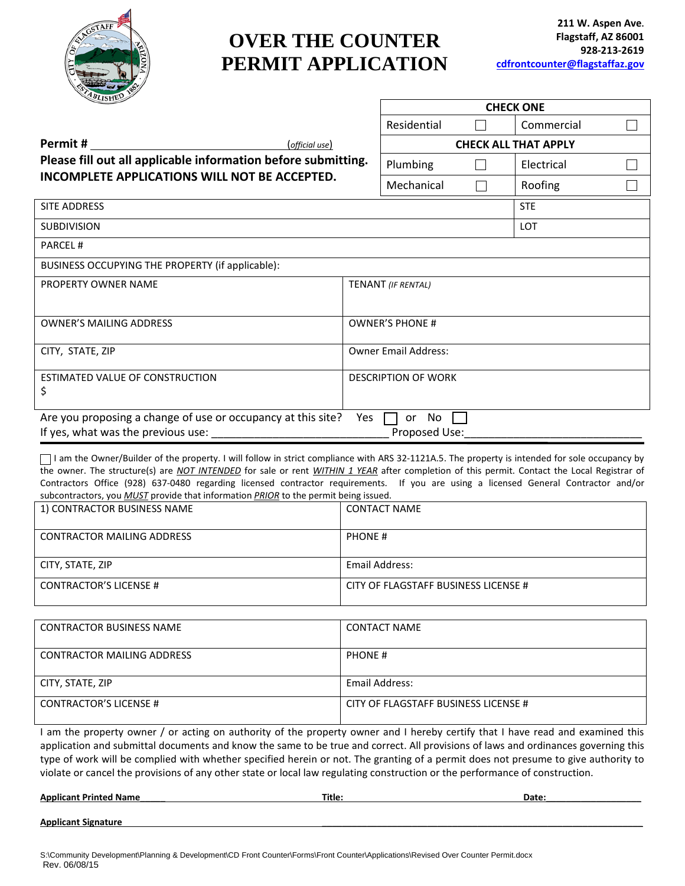

# **OVER THE COUNTER PERMIT APPLICATION**

|                                                               |            | <b>CHECK ONE</b>            |            |                             |  |  |  |  |  |
|---------------------------------------------------------------|------------|-----------------------------|------------|-----------------------------|--|--|--|--|--|
|                                                               |            | Residential                 |            | Commercial                  |  |  |  |  |  |
| (official use)                                                |            |                             |            | <b>CHECK ALL THAT APPLY</b> |  |  |  |  |  |
| Please fill out all applicable information before submitting. | Plumbing   |                             | Electrical |                             |  |  |  |  |  |
| INCOMPLETE APPLICATIONS WILL NOT BE ACCEPTED.                 | Mechanical |                             | Roofing    |                             |  |  |  |  |  |
| SITE ADDRESS                                                  |            |                             |            | <b>STE</b>                  |  |  |  |  |  |
| <b>SUBDIVISION</b>                                            |            |                             |            | LOT                         |  |  |  |  |  |
| <b>PARCEL#</b>                                                |            |                             |            |                             |  |  |  |  |  |
| BUSINESS OCCUPYING THE PROPERTY (if applicable):              |            |                             |            |                             |  |  |  |  |  |
| PROPERTY OWNER NAME                                           |            | <b>TENANT</b> (IF RENTAL)   |            |                             |  |  |  |  |  |
|                                                               |            |                             |            |                             |  |  |  |  |  |
| <b>OWNER'S MAILING ADDRESS</b>                                |            | <b>OWNER'S PHONE #</b>      |            |                             |  |  |  |  |  |
| CITY, STATE, ZIP                                              |            | <b>Owner Email Address:</b> |            |                             |  |  |  |  |  |
|                                                               |            |                             |            |                             |  |  |  |  |  |
| ESTIMATED VALUE OF CONSTRUCTION<br>\$                         |            | <b>DESCRIPTION OF WORK</b>  |            |                             |  |  |  |  |  |
|                                                               |            |                             |            |                             |  |  |  |  |  |
| Are you proposing a change of use or occupancy at this site?  | Yes        | No<br>or                    |            |                             |  |  |  |  |  |
| If yes, what was the previous use:                            |            | Proposed Use:               |            |                             |  |  |  |  |  |

 I am the Owner/Builder of the property. I will follow in strict compliance with ARS 32-1121A.5. The property is intended for sole occupancy by the owner. The structure(s) are *NOT INTENDED* for sale or rent *WITHIN 1 YEAR* after completion of this permit. Contact the Local Registrar of Contractors Office (928) 637-0480 regarding licensed contractor requirements. If you are using a licensed General Contractor and/or subcontractors, you *MUST* provide that information *PRIOR* to the permit being issued.

| 1) CONTRACTOR BUSINESS NAME       | <b>CONTACT NAME</b>                  |
|-----------------------------------|--------------------------------------|
| <b>CONTRACTOR MAILING ADDRESS</b> | <b>PHONE#</b>                        |
| CITY, STATE, ZIP                  | Email Address:                       |
| <b>CONTRACTOR'S LICENSE #</b>     | CITY OF FLAGSTAFF BUSINESS LICENSE # |

| <b>CONTRACTOR BUSINESS NAME</b>   | <b>CONTACT NAME</b>                  |
|-----------------------------------|--------------------------------------|
| <b>CONTRACTOR MAILING ADDRESS</b> | <b>PHONE#</b>                        |
| CITY, STATE, ZIP                  | Email Address:                       |
| <b>CONTRACTOR'S LICENSE #</b>     | CITY OF FLAGSTAFF BUSINESS LICENSE # |

I am the property owner / or acting on authority of the property owner and I hereby certify that I have read and examined this application and submittal documents and know the same to be true and correct. All provisions of laws and ordinances governing this type of work will be complied with whether specified herein or not. The granting of a permit does not presume to give authority to violate or cancel the provisions of any other state or local law regulating construction or the performance of construction.

**Applicant Printed Name\_\_\_\_\_ Title: Date:\_\_\_\_\_\_\_\_\_\_\_\_\_\_\_\_\_\_\_**

**Applicant Signature \_\_\_\_\_\_\_\_\_\_\_\_\_\_\_\_\_\_\_\_\_\_\_\_\_\_\_\_\_\_\_\_\_\_\_\_\_\_\_\_\_\_\_\_\_\_\_\_\_\_\_\_\_\_\_\_\_\_\_\_\_\_\_\_**